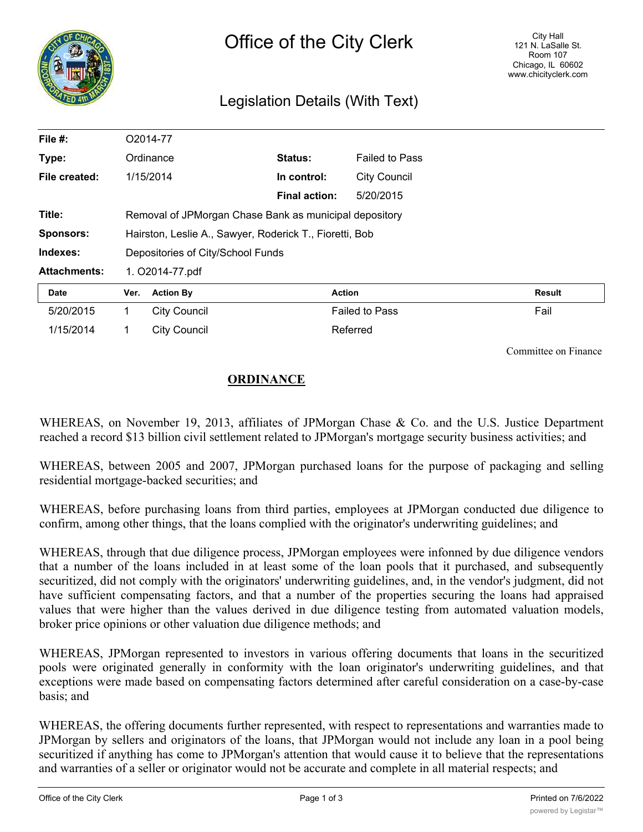

## Legislation Details (With Text)

| File #:             |                 | O2014-77                                                |                      |                       |               |  |
|---------------------|-----------------|---------------------------------------------------------|----------------------|-----------------------|---------------|--|
| Type:               |                 | Ordinance                                               | Status:              | <b>Failed to Pass</b> |               |  |
| File created:       |                 | 1/15/2014                                               | In control:          | <b>City Council</b>   |               |  |
|                     |                 |                                                         | <b>Final action:</b> | 5/20/2015             |               |  |
| Title:              |                 | Removal of JPMorgan Chase Bank as municipal depository  |                      |                       |               |  |
| <b>Sponsors:</b>    |                 | Hairston, Leslie A., Sawyer, Roderick T., Fioretti, Bob |                      |                       |               |  |
| Indexes:            |                 | Depositories of City/School Funds                       |                      |                       |               |  |
| <b>Attachments:</b> | 1. O2014-77.pdf |                                                         |                      |                       |               |  |
| Date                | Ver.            | <b>Action By</b>                                        | <b>Action</b>        |                       | <b>Result</b> |  |
| 5/20/2015           | 1.              | <b>City Council</b>                                     |                      | <b>Failed to Pass</b> | Fail          |  |
| 1/15/2014           |                 | <b>City Council</b>                                     |                      | Referred              |               |  |

Committee on Finance

## **ORDINANCE**

WHEREAS, on November 19, 2013, affiliates of JPMorgan Chase & Co. and the U.S. Justice Department reached a record \$13 billion civil settlement related to JPMorgan's mortgage security business activities; and

WHEREAS, between 2005 and 2007, JPMorgan purchased loans for the purpose of packaging and selling residential mortgage-backed securities; and

WHEREAS, before purchasing loans from third parties, employees at JPMorgan conducted due diligence to confirm, among other things, that the loans complied with the originator's underwriting guidelines; and

WHEREAS, through that due diligence process, JPMorgan employees were infonned by due diligence vendors that a number of the loans included in at least some of the loan pools that it purchased, and subsequently securitized, did not comply with the originators' underwriting guidelines, and, in the vendor's judgment, did not have sufficient compensating factors, and that a number of the properties securing the loans had appraised values that were higher than the values derived in due diligence testing from automated valuation models, broker price opinions or other valuation due diligence methods; and

WHEREAS, JPMorgan represented to investors in various offering documents that loans in the securitized pools were originated generally in conformity with the loan originator's underwriting guidelines, and that exceptions were made based on compensating factors determined after careful consideration on a case-by-case basis; and

WHEREAS, the offering documents further represented, with respect to representations and warranties made to JPMorgan by sellers and originators of the loans, that JPMorgan would not include any loan in a pool being securitized if anything has come to JPMorgan's attention that would cause it to believe that the representations and warranties of a seller or originator would not be accurate and complete in all material respects; and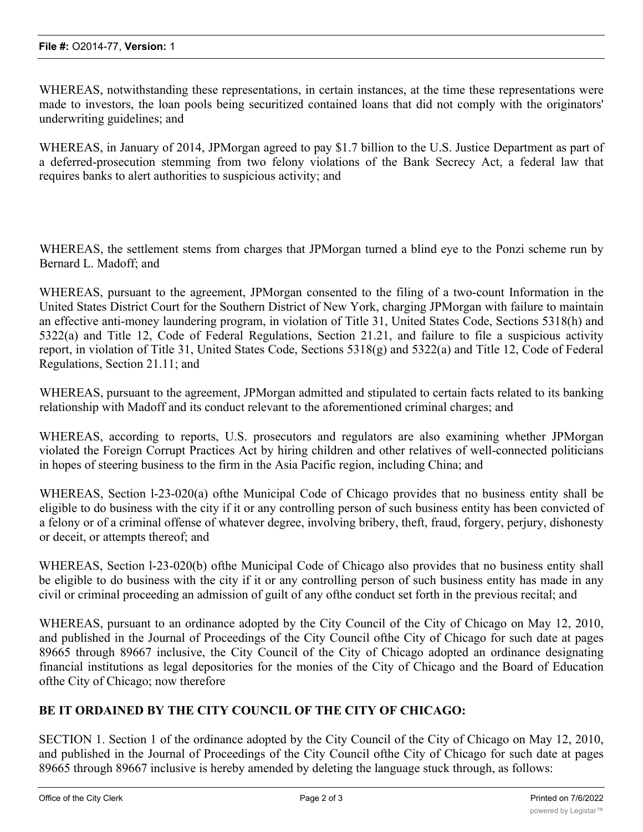WHEREAS, notwithstanding these representations, in certain instances, at the time these representations were made to investors, the loan pools being securitized contained loans that did not comply with the originators' underwriting guidelines; and

WHEREAS, in January of 2014, JPMorgan agreed to pay \$1.7 billion to the U.S. Justice Department as part of a deferred-prosecution stemming from two felony violations of the Bank Secrecy Act, a federal law that requires banks to alert authorities to suspicious activity; and

WHEREAS, the settlement stems from charges that JPMorgan turned a blind eye to the Ponzi scheme run by Bernard L. Madoff; and

WHEREAS, pursuant to the agreement, JPMorgan consented to the filing of a two-count Information in the United States District Court for the Southern District of New York, charging JPMorgan with failure to maintain an effective anti-money laundering program, in violation of Title 31, United States Code, Sections 5318(h) and 5322(a) and Title 12, Code of Federal Regulations, Section 21.21, and failure to file a suspicious activity report, in violation of Title 31, United States Code, Sections 5318(g) and 5322(a) and Title 12, Code of Federal Regulations, Section 21.11; and

WHEREAS, pursuant to the agreement, JPMorgan admitted and stipulated to certain facts related to its banking relationship with Madoff and its conduct relevant to the aforementioned criminal charges; and

WHEREAS, according to reports, U.S. prosecutors and regulators are also examining whether JPMorgan violated the Foreign Corrupt Practices Act by hiring children and other relatives of well-connected politicians in hopes of steering business to the firm in the Asia Pacific region, including China; and

WHEREAS, Section l-23-020(a) ofthe Municipal Code of Chicago provides that no business entity shall be eligible to do business with the city if it or any controlling person of such business entity has been convicted of a felony or of a criminal offense of whatever degree, involving bribery, theft, fraud, forgery, perjury, dishonesty or deceit, or attempts thereof; and

WHEREAS, Section l-23-020(b) ofthe Municipal Code of Chicago also provides that no business entity shall be eligible to do business with the city if it or any controlling person of such business entity has made in any civil or criminal proceeding an admission of guilt of any ofthe conduct set forth in the previous recital; and

WHEREAS, pursuant to an ordinance adopted by the City Council of the City of Chicago on May 12, 2010, and published in the Journal of Proceedings of the City Council ofthe City of Chicago for such date at pages 89665 through 89667 inclusive, the City Council of the City of Chicago adopted an ordinance designating financial institutions as legal depositories for the monies of the City of Chicago and the Board of Education ofthe City of Chicago; now therefore

## **BE IT ORDAINED BY THE CITY COUNCIL OF THE CITY OF CHICAGO:**

SECTION 1. Section 1 of the ordinance adopted by the City Council of the City of Chicago on May 12, 2010, and published in the Journal of Proceedings of the City Council ofthe City of Chicago for such date at pages 89665 through 89667 inclusive is hereby amended by deleting the language stuck through, as follows: